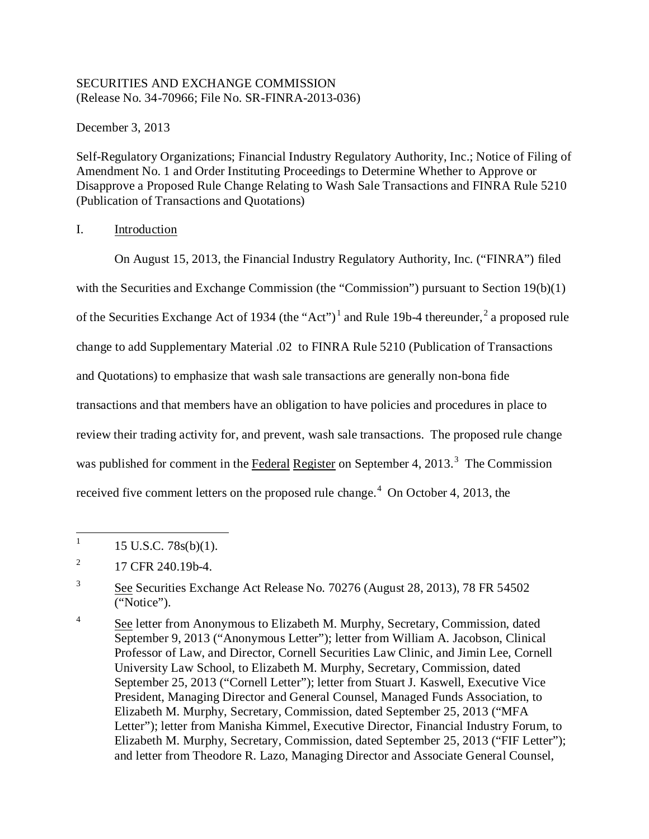### SECURITIES AND EXCHANGE COMMISSION (Release No. 34-70966; File No. SR-FINRA-2013-036)

December 3, 2013

Self-Regulatory Organizations; Financial Industry Regulatory Authority, Inc.; Notice of Filing of Amendment No. 1 and Order Instituting Proceedings to Determine Whether to Approve or Disapprove a Proposed Rule Change Relating to Wash Sale Transactions and FINRA Rule 5210 (Publication of Transactions and Quotations)

# I. Introduction

On August 15, 2013, the Financial Industry Regulatory Authority, Inc. ("FINRA") filed with the Securities and Exchange Commission (the "Commission") pursuant to Section 19(b)(1) of the Securities Exchange Act of 1934 (the "Act")<sup>1</sup> and Rule 19b-4 thereunder,<sup>2</sup> a proposed rule change to add Supplementary Material .02 to FINRA Rule 5210 (Publication of Transactions and Quotations) to emphasize that wash sale transactions are generally non-bona fide transactions and that members have an obligation to have policies and procedures in place to review their trading activity for, and prevent, wash sale transactions. The proposed rule change was published for comment in the Federal Register on September 4, 2013.<sup>3</sup> The Commission received five comment letters on the proposed rule change.<sup>4</sup> On October 4, 2013, the

 $1 \quad 15 \text{ U.S.C. } 78 \text{s(b)}(1).$ 

 $^{2}$  17 CFR 240.19b-4.

<sup>3</sup> See Securities Exchange Act Release No. 70276 (August 28, 2013), 78 FR 54502 ("Notice").

<sup>&</sup>lt;sup>4</sup> See letter from Anonymous to Elizabeth M. Murphy, Secretary, Commission, dated September 9, 2013 ("Anonymous Letter"); letter from William A. Jacobson, Clinical Professor of Law, and Director, Cornell Securities Law Clinic, and Jimin Lee, Cornell University Law School, to Elizabeth M. Murphy, Secretary, Commission, dated September 25, 2013 ("Cornell Letter"); letter from Stuart J. Kaswell, Executive Vice President, Managing Director and General Counsel, Managed Funds Association, to Elizabeth M. Murphy, Secretary, Commission, dated September 25, 2013 ("MFA Letter"); letter from Manisha Kimmel, Executive Director, Financial Industry Forum, to Elizabeth M. Murphy, Secretary, Commission, dated September 25, 2013 ("FIF Letter"); and letter from Theodore R. Lazo, Managing Director and Associate General Counsel,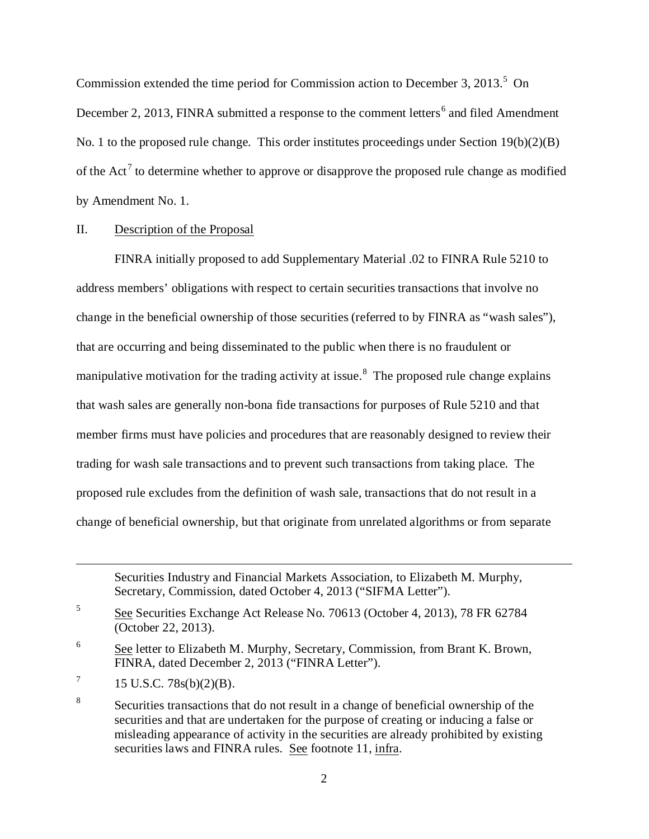Commission extended the time period for Commission action to December 3, 2013.<sup>5</sup> On December 2, 2013, FINRA submitted a response to the comment letters<sup>6</sup> and filed Amendment No. 1 to the proposed rule change. This order institutes proceedings under Section 19(b)(2)(B) of the  $Act<sup>7</sup>$  to determine whether to approve or disapprove the proposed rule change as modified by Amendment No. 1.

### II. Description of the Proposal

FINRA initially proposed to add Supplementary Material .02 to FINRA Rule 5210 to address members' obligations with respect to certain securities transactions that involve no change in the beneficial ownership of those securities (referred to by FINRA as "wash sales"), that are occurring and being disseminated to the public when there is no fraudulent or manipulative motivation for the trading activity at issue.<sup>8</sup> The proposed rule change explains that wash sales are generally non-bona fide transactions for purposes of Rule 5210 and that member firms must have policies and procedures that are reasonably designed to review their trading for wash sale transactions and to prevent such transactions from taking place. The proposed rule excludes from the definition of wash sale, transactions that do not result in a change of beneficial ownership, but that originate from unrelated algorithms or from separate

 $\overline{a}$ 

Securities Industry and Financial Markets Association, to Elizabeth M. Murphy, Secretary, Commission, dated October 4, 2013 ("SIFMA Letter").

<sup>5</sup> See Securities Exchange Act Release No. 70613 (October 4, 2013), 78 FR 62784 (October 22, 2013).

 $\frac{6}{100}$  See letter to Elizabeth M. Murphy, Secretary, Commission, from Brant K. Brown, FINRA, dated December 2, 2013 ("FINRA Letter").

 $7 \t15$  U.S.C. 78s(b)(2)(B).

<sup>&</sup>lt;sup>8</sup> Securities transactions that do not result in a change of beneficial ownership of the securities and that are undertaken for the purpose of creating or inducing a false or misleading appearance of activity in the securities are already prohibited by existing securities laws and FINRA rules. See footnote 11, infra.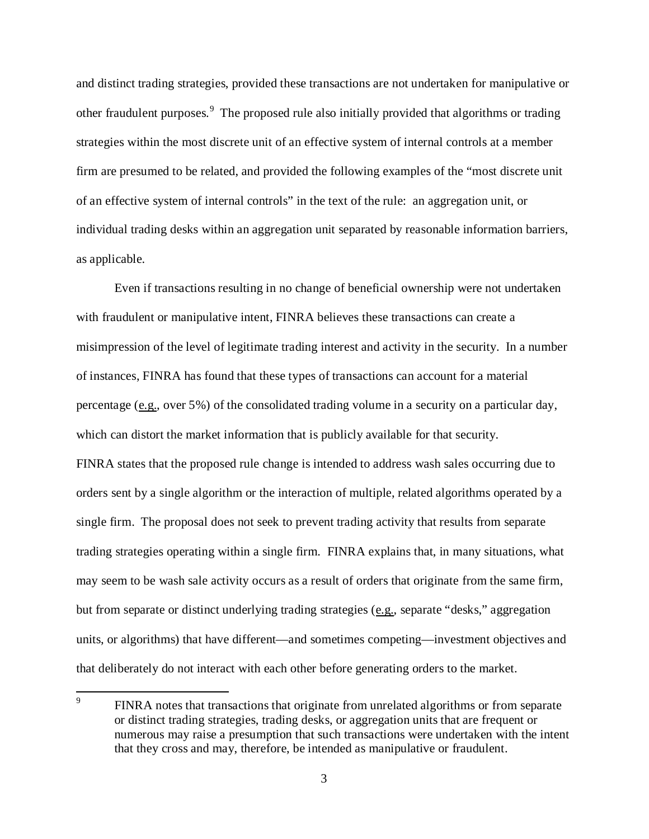and distinct trading strategies, provided these transactions are not undertaken for manipulative or other fraudulent purposes.<sup>9</sup> The proposed rule also initially provided that algorithms or trading strategies within the most discrete unit of an effective system of internal controls at a member firm are presumed to be related, and provided the following examples of the "most discrete unit of an effective system of internal controls" in the text of the rule: an aggregation unit, or individual trading desks within an aggregation unit separated by reasonable information barriers, as applicable.

Even if transactions resulting in no change of beneficial ownership were not undertaken with fraudulent or manipulative intent, FINRA believes these transactions can create a misimpression of the level of legitimate trading interest and activity in the security. In a number of instances, FINRA has found that these types of transactions can account for a material percentage (e.g., over 5%) of the consolidated trading volume in a security on a particular day, which can distort the market information that is publicly available for that security. FINRA states that the proposed rule change is intended to address wash sales occurring due to orders sent by a single algorithm or the interaction of multiple, related algorithms operated by a single firm. The proposal does not seek to prevent trading activity that results from separate trading strategies operating within a single firm. FINRA explains that, in many situations, what may seem to be wash sale activity occurs as a result of orders that originate from the same firm, but from separate or distinct underlying trading strategies (e.g., separate "desks," aggregation units, or algorithms) that have different—and sometimes competing—investment objectives and that deliberately do not interact with each other before generating orders to the market.

<sup>&</sup>lt;sup>9</sup> FINRA notes that transactions that originate from unrelated algorithms or from separate or distinct trading strategies, trading desks, or aggregation units that are frequent or numerous may raise a presumption that such transactions were undertaken with the intent that they cross and may, therefore, be intended as manipulative or fraudulent.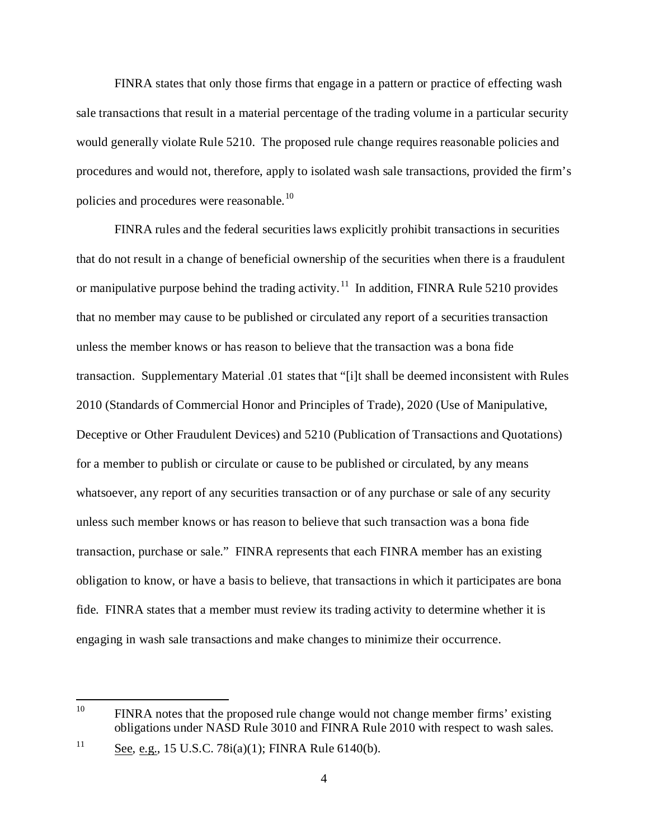FINRA states that only those firms that engage in a pattern or practice of effecting wash sale transactions that result in a material percentage of the trading volume in a particular security would generally violate Rule 5210. The proposed rule change requires reasonable policies and procedures and would not, therefore, apply to isolated wash sale transactions, provided the firm's policies and procedures were reasonable.<sup>10</sup>

FINRA rules and the federal securities laws explicitly prohibit transactions in securities that do not result in a change of beneficial ownership of the securities when there is a fraudulent or manipulative purpose behind the trading activity.<sup>11</sup> In addition, FINRA Rule 5210 provides that no member may cause to be published or circulated any report of a securities transaction unless the member knows or has reason to believe that the transaction was a bona fide transaction. Supplementary Material .01 states that "[i]t shall be deemed inconsistent with Rules 2010 (Standards of Commercial Honor and Principles of Trade), 2020 (Use of Manipulative, Deceptive or Other Fraudulent Devices) and 5210 (Publication of Transactions and Quotations) for a member to publish or circulate or cause to be published or circulated, by any means whatsoever, any report of any securities transaction or of any purchase or sale of any security unless such member knows or has reason to believe that such transaction was a bona fide transaction, purchase or sale." FINRA represents that each FINRA member has an existing obligation to know, or have a basis to believe, that transactions in which it participates are bona fide. FINRA states that a member must review its trading activity to determine whether it is engaging in wash sale transactions and make changes to minimize their occurrence.

<sup>&</sup>lt;sup>10</sup> FINRA notes that the proposed rule change would not change member firms' existing obligations under NASD Rule 3010 and FINRA Rule 2010 with respect to wash sales.

<sup>&</sup>lt;sup>11</sup> See, e.g., 15 U.S.C. 78 $i$ (a)(1); FINRA Rule 6140(b).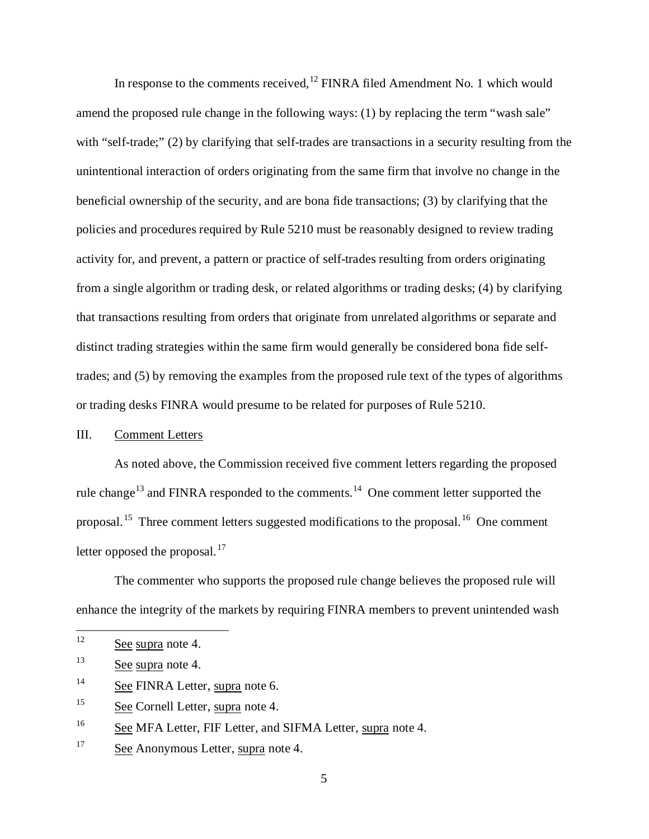In response to the comments received,  $12$  FINRA filed Amendment No. 1 which would amend the proposed rule change in the following ways: (1) by replacing the term "wash sale" with "self-trade;" (2) by clarifying that self-trades are transactions in a security resulting from the unintentional interaction of orders originating from the same firm that involve no change in the beneficial ownership of the security, and are bona fide transactions; (3) by clarifying that the policies and procedures required by Rule 5210 must be reasonably designed to review trading activity for, and prevent, a pattern or practice of self-trades resulting from orders originating from a single algorithm or trading desk, or related algorithms or trading desks; (4) by clarifying that transactions resulting from orders that originate from unrelated algorithms or separate and distinct trading strategies within the same firm would generally be considered bona fide selftrades; and (5) by removing the examples from the proposed rule text of the types of algorithms or trading desks FINRA would presume to be related for purposes of Rule 5210.

### III. Comment Letters

As noted above, the Commission received five comment letters regarding the proposed rule change<sup>13</sup> and FINRA responded to the comments.<sup>14</sup> One comment letter supported the proposal. <sup>15</sup> Three comment letters suggested modifications to the proposal. 16 One comment letter opposed the proposal. $^{17}$ 

The commenter who supports the proposed rule change believes the proposed rule will enhance the integrity of the markets by requiring FINRA members to prevent unintended wash

- <sup>14</sup> See FINRA Letter, supra note 6.
- <sup>15</sup> See Cornell Letter, supra note 4.

<sup>17</sup> See Anonymous Letter, supra note 4.

 $12$  See supra note 4.

<sup>13</sup> See supra note 4.

<sup>&</sup>lt;sup>16</sup> See MFA Letter, FIF Letter, and SIFMA Letter, supra note 4.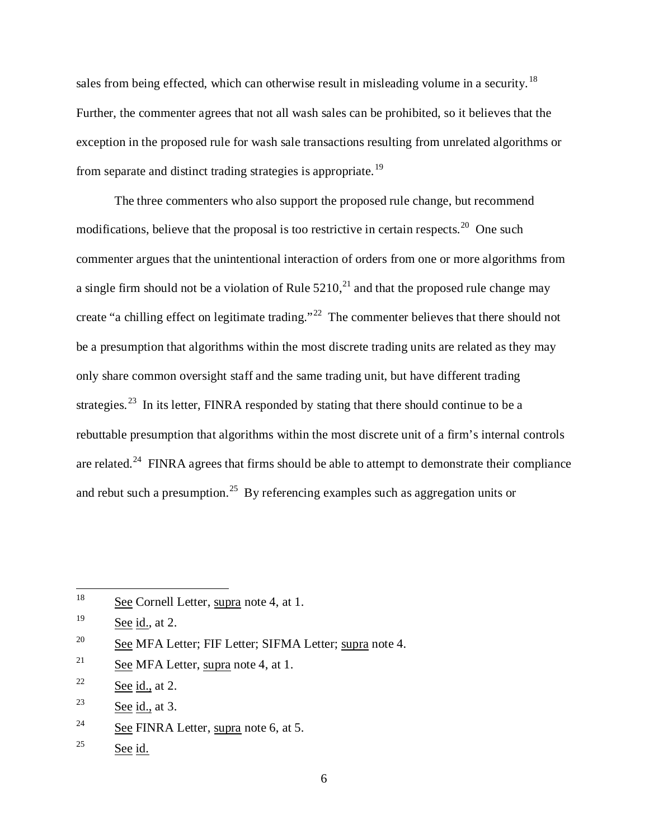sales from being effected, which can otherwise result in misleading volume in a security.<sup>18</sup> Further, the commenter agrees that not all wash sales can be prohibited, so it believes that the exception in the proposed rule for wash sale transactions resulting from unrelated algorithms or from separate and distinct trading strategies is appropriate.<sup>19</sup>

The three commenters who also support the proposed rule change, but recommend modifications, believe that the proposal is too restrictive in certain respects.<sup>20</sup> One such commenter argues that the unintentional interaction of orders from one or more algorithms from a single firm should not be a violation of Rule  $5210<sup>21</sup>$  and that the proposed rule change may create "a chilling effect on legitimate trading."<sup>22</sup> The commenter believes that there should not be a presumption that algorithms within the most discrete trading units are related as they may only share common oversight staff and the same trading unit, but have different trading strategies.<sup>23</sup> In its letter, FINRA responded by stating that there should continue to be a rebuttable presumption that algorithms within the most discrete unit of a firm's internal controls are related.<sup>24</sup> FINRA agrees that firms should be able to attempt to demonstrate their compliance and rebut such a presumption.<sup>25</sup> By referencing examples such as aggregation units or

<sup>&</sup>lt;sup>18</sup> See Cornell Letter, supra note 4, at 1.

 $19$  See id., at 2.

<sup>&</sup>lt;sup>20</sup> See MFA Letter; FIF Letter; SIFMA Letter; supra note 4.

<sup>&</sup>lt;sup>21</sup> See MFA Letter, supra note 4, at 1.

 $22$  See id., at 2.

<sup>&</sup>lt;sup>23</sup> See id., at 3.

<sup>&</sup>lt;sup>24</sup> See FINRA Letter, supra note 6, at 5.

 $25$  See id.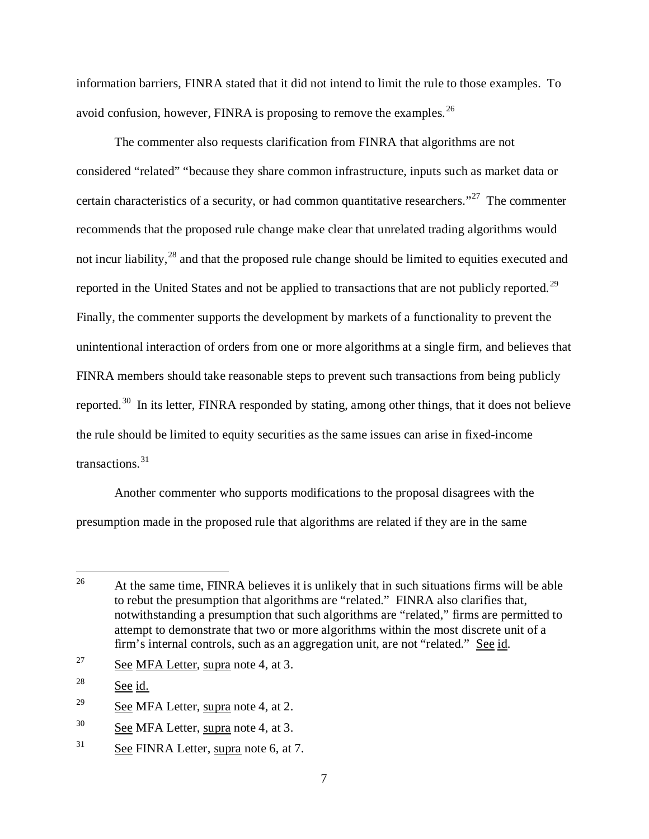information barriers, FINRA stated that it did not intend to limit the rule to those examples. To avoid confusion, however, FINRA is proposing to remove the examples.  $^{26}$ 

The commenter also requests clarification from FINRA that algorithms are not considered "related" "because they share common infrastructure, inputs such as market data or certain characteristics of a security, or had common quantitative researchers."<sup>27</sup> The commenter recommends that the proposed rule change make clear that unrelated trading algorithms would not incur liability,<sup>28</sup> and that the proposed rule change should be limited to equities executed and reported in the United States and not be applied to transactions that are not publicly reported.<sup>29</sup> Finally, the commenter supports the development by markets of a functionality to prevent the unintentional interaction of orders from one or more algorithms at a single firm, and believes that FINRA members should take reasonable steps to prevent such transactions from being publicly reported.<sup>30</sup> In its letter, FINRA responded by stating, among other things, that it does not believe the rule should be limited to equity securities as the same issues can arise in fixed-income transactions.<sup>31</sup>

Another commenter who supports modifications to the proposal disagrees with the presumption made in the proposed rule that algorithms are related if they are in the same

<sup>27</sup> See MFA Letter, supra note 4, at 3.

<sup>&</sup>lt;sup>26</sup> At the same time, FINRA believes it is unlikely that in such situations firms will be able to rebut the presumption that algorithms are "related." FINRA also clarifies that, notwithstanding a presumption that such algorithms are "related," firms are permitted to attempt to demonstrate that two or more algorithms within the most discrete unit of a firm's internal controls, such as an aggregation unit, are not "related." See id.

<sup>28</sup> See id.

<sup>&</sup>lt;sup>29</sup> See MFA Letter, supra note 4, at 2.

<sup>&</sup>lt;sup>30</sup> See MFA Letter, supra note 4, at 3.

<sup>&</sup>lt;sup>31</sup> See FINRA Letter, supra note 6, at 7.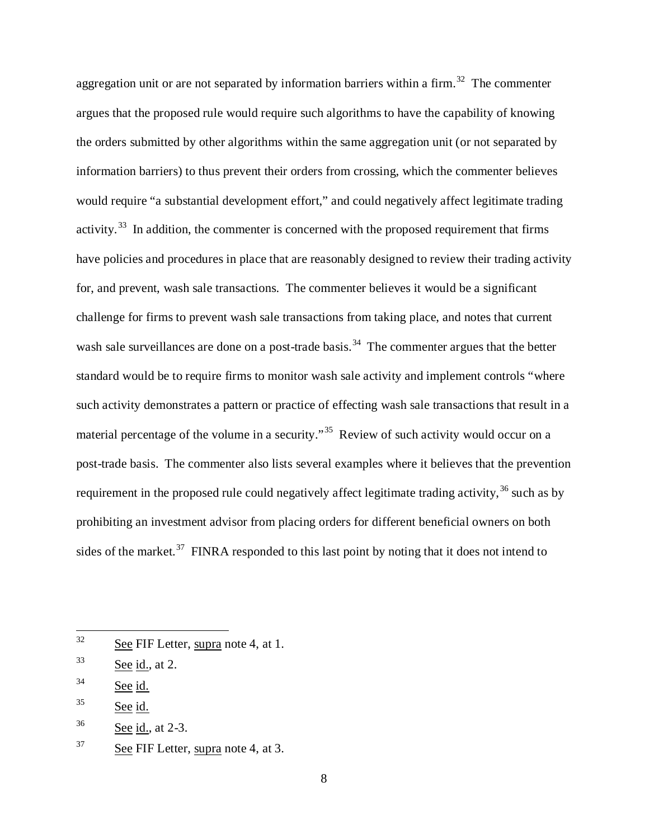aggregation unit or are not separated by information barriers within a firm.<sup>32</sup> The commenter argues that the proposed rule would require such algorithms to have the capability of knowing the orders submitted by other algorithms within the same aggregation unit (or not separated by information barriers) to thus prevent their orders from crossing, which the commenter believes would require "a substantial development effort," and could negatively affect legitimate trading activity.<sup>33</sup> In addition, the commenter is concerned with the proposed requirement that firms have policies and procedures in place that are reasonably designed to review their trading activity for, and prevent, wash sale transactions. The commenter believes it would be a significant challenge for firms to prevent wash sale transactions from taking place, and notes that current wash sale surveillances are done on a post-trade basis.<sup>34</sup> The commenter argues that the better standard would be to require firms to monitor wash sale activity and implement controls "where such activity demonstrates a pattern or practice of effecting wash sale transactions that result in a material percentage of the volume in a security."<sup>35</sup> Review of such activity would occur on a post-trade basis. The commenter also lists several examples where it believes that the prevention requirement in the proposed rule could negatively affect legitimate trading activity,  $36$  such as by prohibiting an investment advisor from placing orders for different beneficial owners on both sides of the market.<sup>37</sup> FINRA responded to this last point by noting that it does not intend to

<sup>&</sup>lt;sup>32</sup> See FIF Letter, supra note 4, at 1.

 $33$  See id., at 2.

<sup>34</sup> See id.

<sup>35</sup> See id.

<sup>36</sup> See id., at 2-3.

<sup>37</sup> See FIF Letter, supra note 4, at 3.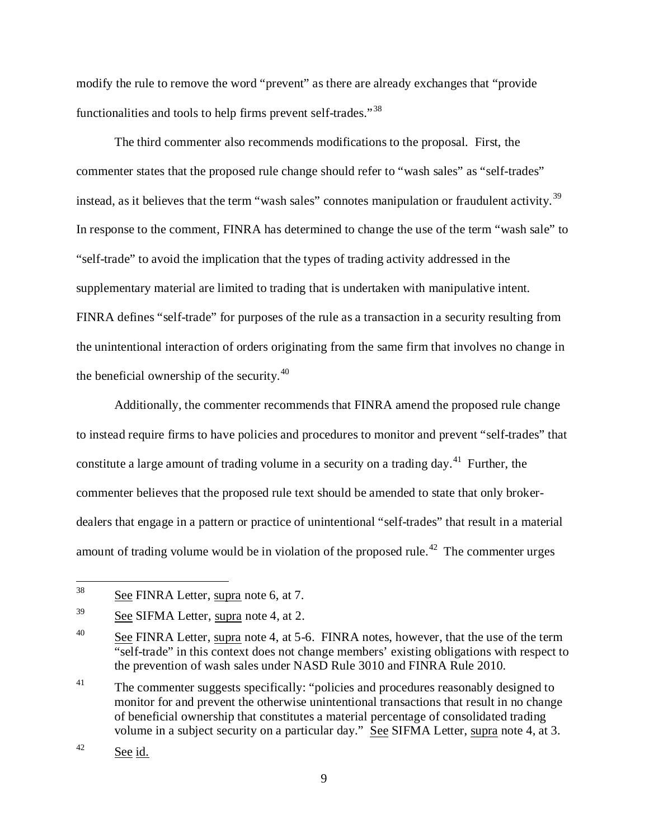modify the rule to remove the word "prevent" as there are already exchanges that "provide functionalities and tools to help firms prevent self-trades."<sup>38</sup>

The third commenter also recommends modifications to the proposal. First, the commenter states that the proposed rule change should refer to "wash sales" as "self-trades" instead, as it believes that the term "wash sales" connotes manipulation or fraudulent activity.<sup>39</sup> In response to the comment, FINRA has determined to change the use of the term "wash sale" to "self-trade" to avoid the implication that the types of trading activity addressed in the supplementary material are limited to trading that is undertaken with manipulative intent. FINRA defines "self-trade" for purposes of the rule as a transaction in a security resulting from the unintentional interaction of orders originating from the same firm that involves no change in the beneficial ownership of the security.<sup>40</sup>

Additionally, the commenter recommends that FINRA amend the proposed rule change to instead require firms to have policies and procedures to monitor and prevent "self-trades" that constitute a large amount of trading volume in a security on a trading day.<sup>41</sup> Further, the commenter believes that the proposed rule text should be amended to state that only brokerdealers that engage in a pattern or practice of unintentional "self-trades" that result in a material amount of trading volume would be in violation of the proposed rule.<sup>42</sup> The commenter urges

 <sup>38</sup> See FINRA Letter, supra note 6, at 7.

<sup>39</sup> See SIFMA Letter, supra note 4, at 2.

<sup>&</sup>lt;sup>40</sup> See FINRA Letter, supra note 4, at 5-6. FINRA notes, however, that the use of the term "self-trade" in this context does not change members' existing obligations with respect to the prevention of wash sales under NASD Rule 3010 and FINRA Rule 2010.

<sup>&</sup>lt;sup>41</sup> The commenter suggests specifically: "policies and procedures reasonably designed to monitor for and prevent the otherwise unintentional transactions that result in no change of beneficial ownership that constitutes a material percentage of consolidated trading volume in a subject security on a particular day." See SIFMA Letter, supra note 4, at 3.

<sup>42</sup> See id.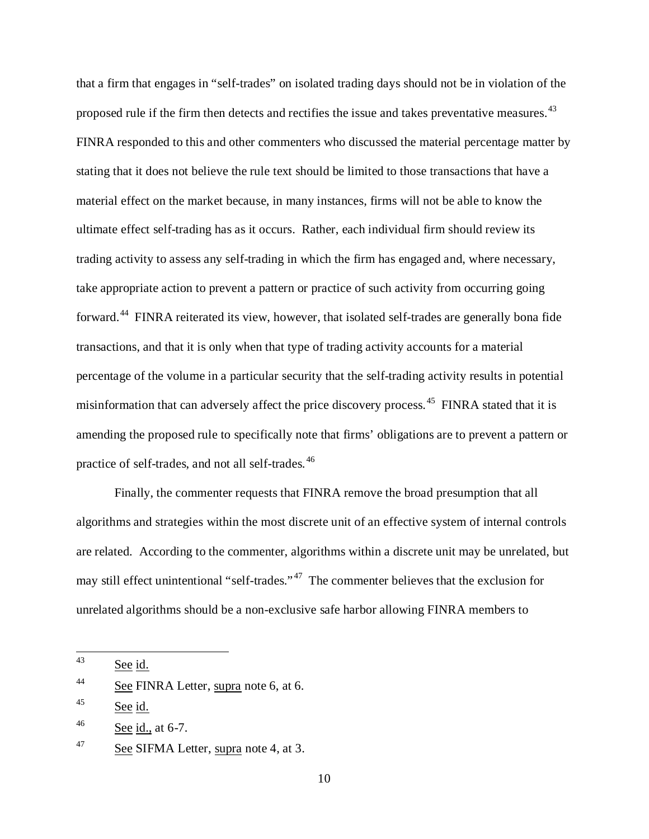that a firm that engages in "self-trades" on isolated trading days should not be in violation of the proposed rule if the firm then detects and rectifies the issue and takes preventative measures.<sup>43</sup> FINRA responded to this and other commenters who discussed the material percentage matter by stating that it does not believe the rule text should be limited to those transactions that have a material effect on the market because, in many instances, firms will not be able to know the ultimate effect self-trading has as it occurs. Rather, each individual firm should review its trading activity to assess any self-trading in which the firm has engaged and, where necessary, take appropriate action to prevent a pattern or practice of such activity from occurring going forward.<sup>44</sup> FINRA reiterated its view, however, that isolated self-trades are generally bona fide transactions, and that it is only when that type of trading activity accounts for a material percentage of the volume in a particular security that the self-trading activity results in potential misinformation that can adversely affect the price discovery process.<sup>45</sup> FINRA stated that it is amending the proposed rule to specifically note that firms' obligations are to prevent a pattern or practice of self-trades, and not all self-trades.<sup>46</sup>

Finally, the commenter requests that FINRA remove the broad presumption that all algorithms and strategies within the most discrete unit of an effective system of internal controls are related. According to the commenter, algorithms within a discrete unit may be unrelated, but may still effect unintentional "self-trades."<sup>47</sup> The commenter believes that the exclusion for unrelated algorithms should be a non-exclusive safe harbor allowing FINRA members to

 <sup>43</sup> See id.

<sup>&</sup>lt;sup>44</sup> See FINRA Letter, supra note 6, at 6.

<sup>45</sup> See id.

 $46$  See id., at 6-7.

<sup>47</sup> See SIFMA Letter, supra note 4, at 3.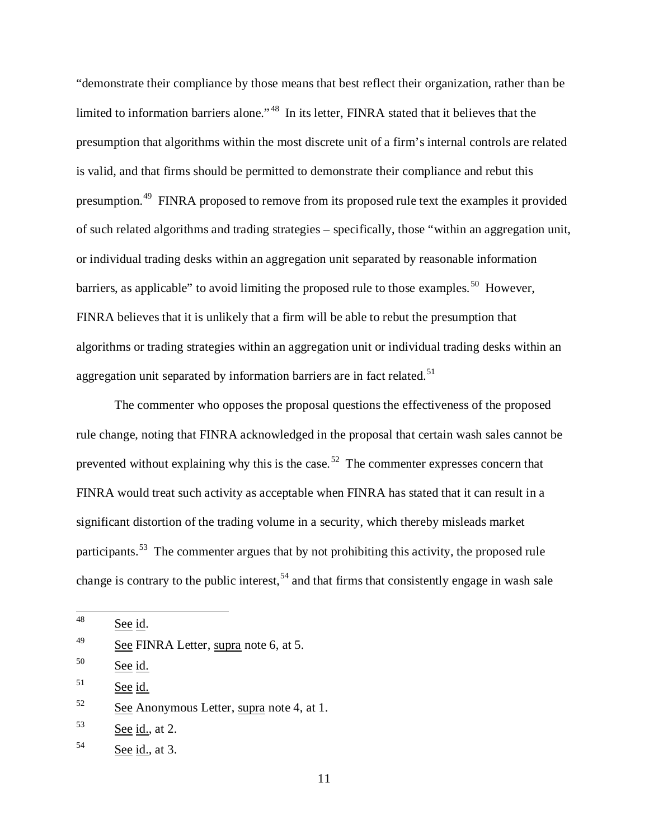"demonstrate their compliance by those means that best reflect their organization, rather than be limited to information barriers alone."<sup>48</sup> In its letter, FINRA stated that it believes that the presumption that algorithms within the most discrete unit of a firm's internal controls are related is valid, and that firms should be permitted to demonstrate their compliance and rebut this presumption.<sup>49</sup> FINRA proposed to remove from its proposed rule text the examples it provided of such related algorithms and trading strategies – specifically, those "within an aggregation unit, or individual trading desks within an aggregation unit separated by reasonable information barriers, as applicable" to avoid limiting the proposed rule to those examples.<sup>50</sup> However, FINRA believes that it is unlikely that a firm will be able to rebut the presumption that algorithms or trading strategies within an aggregation unit or individual trading desks within an aggregation unit separated by information barriers are in fact related.<sup>51</sup>

The commenter who opposes the proposal questions the effectiveness of the proposed rule change, noting that FINRA acknowledged in the proposal that certain wash sales cannot be prevented without explaining why this is the case.<sup>52</sup> The commenter expresses concern that FINRA would treat such activity as acceptable when FINRA has stated that it can result in a significant distortion of the trading volume in a security, which thereby misleads market participants.<sup>53</sup> The commenter argues that by not prohibiting this activity, the proposed rule change is contrary to the public interest,  $54$  and that firms that consistently engage in wash sale

 <sup>48</sup> See id.

<sup>49</sup> See FINRA Letter, supra note 6, at 5.

<sup>50</sup> See id.

 $51$  See id.

<sup>52</sup> See Anonymous Letter, supra note 4, at 1.

 $53$  See id., at 2.

 $54$  See id., at 3.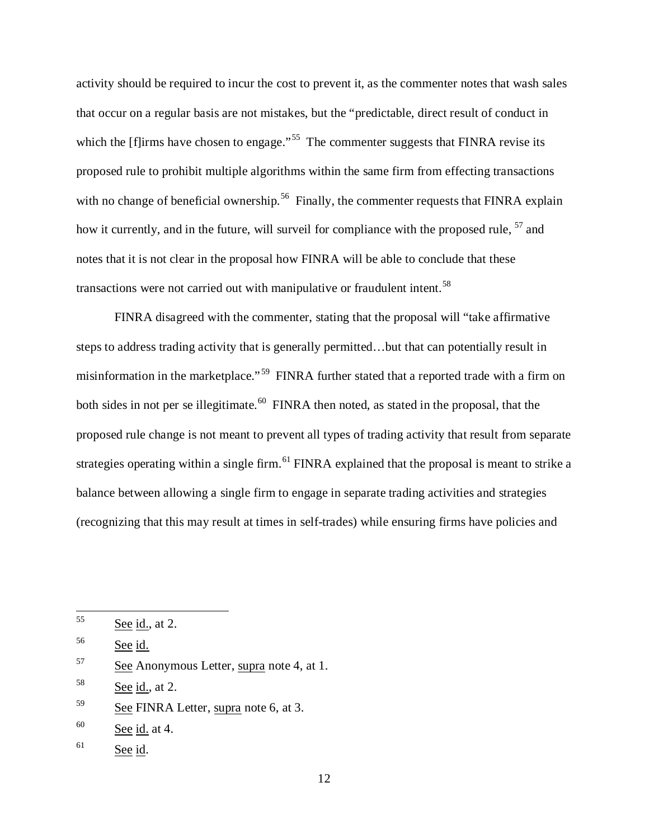activity should be required to incur the cost to prevent it, as the commenter notes that wash sales that occur on a regular basis are not mistakes, but the "predictable, direct result of conduct in which the  $\left[\text{f} \right]$  firms have chosen to engage."<sup>55</sup> The commenter suggests that FINRA revise its proposed rule to prohibit multiple algorithms within the same firm from effecting transactions with no change of beneficial ownership.<sup>56</sup> Finally, the commenter requests that FINRA explain how it currently, and in the future, will surveil for compliance with the proposed rule, <sup>57</sup> and notes that it is not clear in the proposal how FINRA will be able to conclude that these transactions were not carried out with manipulative or fraudulent intent.<sup>58</sup>

FINRA disagreed with the commenter, stating that the proposal will "take affirmative steps to address trading activity that is generally permitted…but that can potentially result in misinformation in the marketplace." 59 FINRA further stated that a reported trade with a firm on both sides in not per se illegitimate.<sup>60</sup> FINRA then noted, as stated in the proposal, that the proposed rule change is not meant to prevent all types of trading activity that result from separate strategies operating within a single firm.<sup>61</sup> FINRA explained that the proposal is meant to strike a balance between allowing a single firm to engage in separate trading activities and strategies (recognizing that this may result at times in self-trades) while ensuring firms have policies and

 $55$  See id., at 2.

<sup>56</sup> See id.

<sup>57</sup> See Anonymous Letter, supra note 4, at 1.

 $58$  See id., at 2.

<sup>59</sup> See FINRA Letter, supra note 6, at 3.

 $60$  See id. at 4.

<sup>61</sup> See id.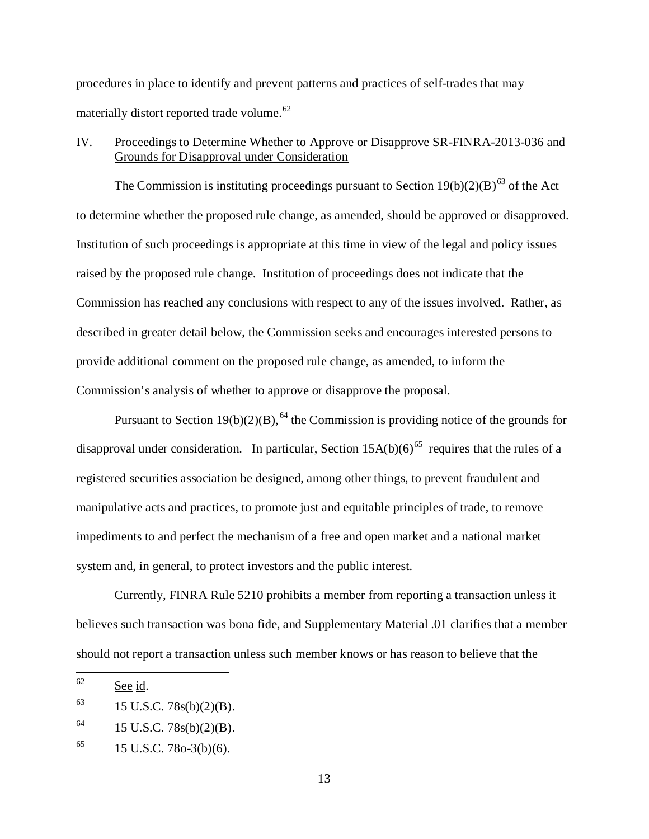procedures in place to identify and prevent patterns and practices of self-trades that may materially distort reported trade volume.<sup>62</sup>

# IV. Proceedings to Determine Whether to Approve or Disapprove SR-FINRA-2013-036 and Grounds for Disapproval under Consideration

The Commission is instituting proceedings pursuant to Section  $19(b)(2)(B)^{63}$  of the Act to determine whether the proposed rule change, as amended, should be approved or disapproved. Institution of such proceedings is appropriate at this time in view of the legal and policy issues raised by the proposed rule change. Institution of proceedings does not indicate that the Commission has reached any conclusions with respect to any of the issues involved. Rather, as described in greater detail below, the Commission seeks and encourages interested persons to provide additional comment on the proposed rule change, as amended, to inform the Commission's analysis of whether to approve or disapprove the proposal.

Pursuant to Section 19(b)(2)(B),  $^{64}$  the Commission is providing notice of the grounds for disapproval under consideration. In particular, Section  $15A(b)(6)^{65}$  requires that the rules of a registered securities association be designed, among other things, to prevent fraudulent and manipulative acts and practices, to promote just and equitable principles of trade, to remove impediments to and perfect the mechanism of a free and open market and a national market system and, in general, to protect investors and the public interest.

Currently, FINRA Rule 5210 prohibits a member from reporting a transaction unless it believes such transaction was bona fide, and Supplementary Material .01 clarifies that a member should not report a transaction unless such member knows or has reason to believe that the

 <sup>62</sup> See id.

 $^{63}$  15 U.S.C. 78s(b)(2)(B).

 $^{64}$  15 U.S.C. 78s(b)(2)(B).

<sup>&</sup>lt;sup>65</sup> 15 U.S.C. 78<u>o</u>-3(b)(6).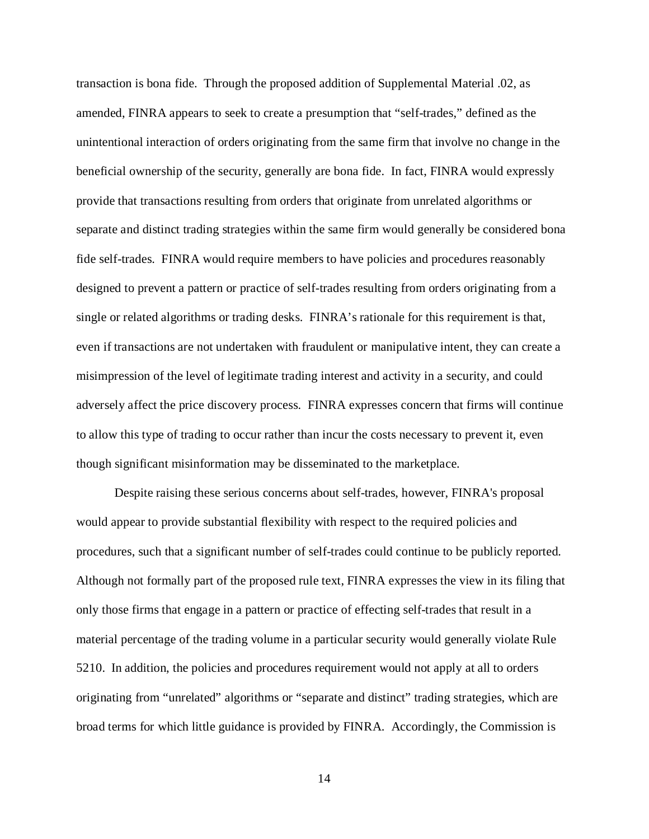transaction is bona fide. Through the proposed addition of Supplemental Material .02, as amended, FINRA appears to seek to create a presumption that "self-trades," defined as the unintentional interaction of orders originating from the same firm that involve no change in the beneficial ownership of the security, generally are bona fide. In fact, FINRA would expressly provide that transactions resulting from orders that originate from unrelated algorithms or separate and distinct trading strategies within the same firm would generally be considered bona fide self-trades. FINRA would require members to have policies and procedures reasonably designed to prevent a pattern or practice of self-trades resulting from orders originating from a single or related algorithms or trading desks. FINRA's rationale for this requirement is that, even if transactions are not undertaken with fraudulent or manipulative intent, they can create a misimpression of the level of legitimate trading interest and activity in a security, and could adversely affect the price discovery process. FINRA expresses concern that firms will continue to allow this type of trading to occur rather than incur the costs necessary to prevent it, even though significant misinformation may be disseminated to the marketplace.

Despite raising these serious concerns about self-trades, however, FINRA's proposal would appear to provide substantial flexibility with respect to the required policies and procedures, such that a significant number of self-trades could continue to be publicly reported. Although not formally part of the proposed rule text, FINRA expresses the view in its filing that only those firms that engage in a pattern or practice of effecting self-trades that result in a material percentage of the trading volume in a particular security would generally violate Rule 5210. In addition, the policies and procedures requirement would not apply at all to orders originating from "unrelated" algorithms or "separate and distinct" trading strategies, which are broad terms for which little guidance is provided by FINRA. Accordingly, the Commission is

14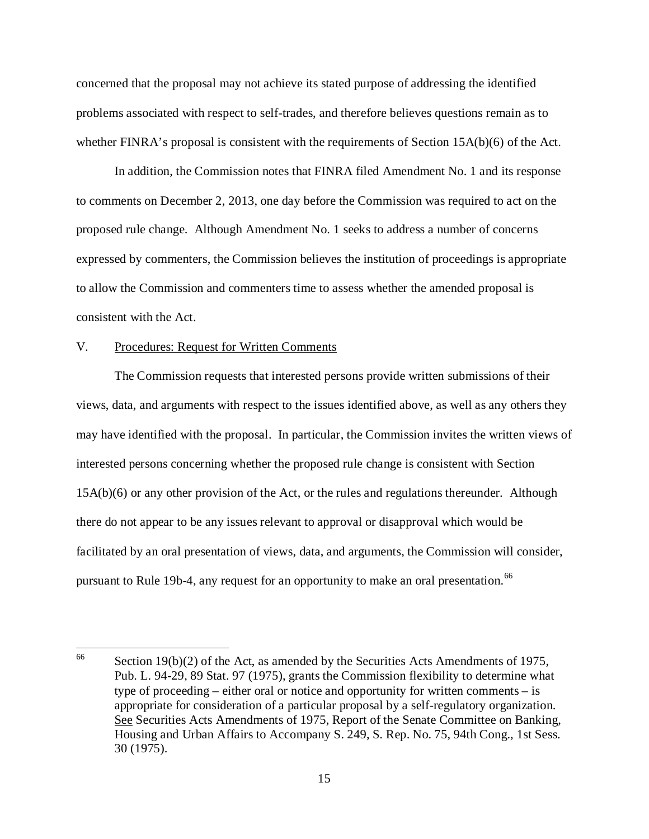concerned that the proposal may not achieve its stated purpose of addressing the identified problems associated with respect to self-trades, and therefore believes questions remain as to whether FINRA's proposal is consistent with the requirements of Section 15A(b)(6) of the Act.

In addition, the Commission notes that FINRA filed Amendment No. 1 and its response to comments on December 2, 2013, one day before the Commission was required to act on the proposed rule change. Although Amendment No. 1 seeks to address a number of concerns expressed by commenters, the Commission believes the institution of proceedings is appropriate to allow the Commission and commenters time to assess whether the amended proposal is consistent with the Act.

#### V. Procedures: Request for Written Comments

The Commission requests that interested persons provide written submissions of their views, data, and arguments with respect to the issues identified above, as well as any others they may have identified with the proposal. In particular, the Commission invites the written views of interested persons concerning whether the proposed rule change is consistent with Section 15A(b)(6) or any other provision of the Act, or the rules and regulations thereunder. Although there do not appear to be any issues relevant to approval or disapproval which would be facilitated by an oral presentation of views, data, and arguments, the Commission will consider, pursuant to Rule 19b-4, any request for an opportunity to make an oral presentation.<sup>66</sup>

<sup>&</sup>lt;sup>66</sup> Section 19(b)(2) of the Act, as amended by the Securities Acts Amendments of 1975, Pub. L. 94-29, 89 Stat. 97 (1975), grants the Commission flexibility to determine what type of proceeding – either oral or notice and opportunity for written comments – is appropriate for consideration of a particular proposal by a self-regulatory organization. See Securities Acts Amendments of 1975, Report of the Senate Committee on Banking, Housing and Urban Affairs to Accompany S. 249, S. Rep. No. 75, 94th Cong., 1st Sess. 30 (1975).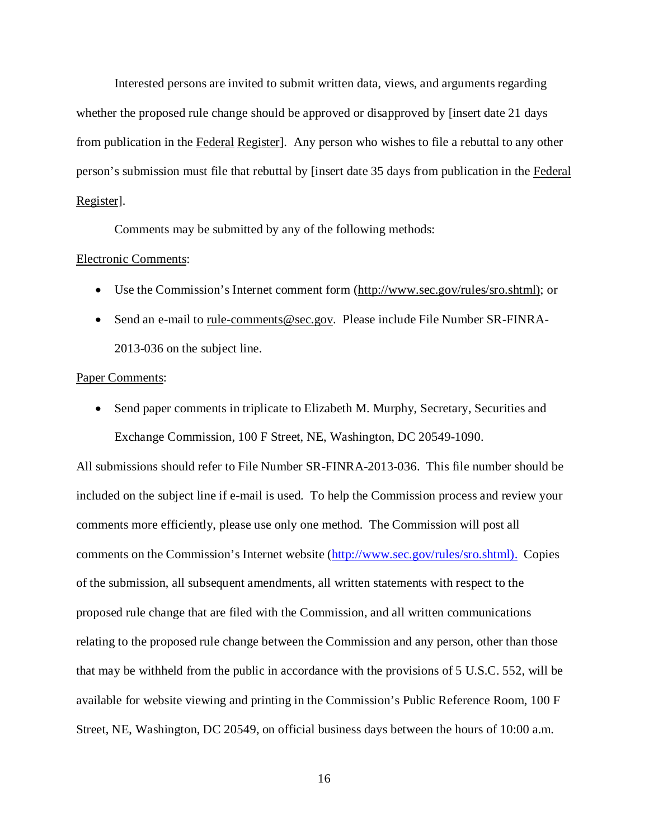Interested persons are invited to submit written data, views, and arguments regarding whether the proposed rule change should be approved or disapproved by [insert date 21 days from publication in the Federal Register]. Any person who wishes to file a rebuttal to any other person's submission must file that rebuttal by [insert date 35 days from publication in the Federal Register].

Comments may be submitted by any of the following methods:

### Electronic Comments:

- Use the Commission's Internet comment form (http://www.sec.gov/rules/sro.shtml); or
- Send an e-mail to rule-comments@sec.gov. Please include File Number SR-FINRA-2013-036 on the subject line.

#### Paper Comments:

• Send paper comments in triplicate to Elizabeth M. Murphy, Secretary, Securities and Exchange Commission, 100 F Street, NE, Washington, DC 20549-1090.

All submissions should refer to File Number SR-FINRA-2013-036. This file number should be included on the subject line if e-mail is used. To help the Commission process and review your comments more efficiently, please use only one method. The Commission will post all comments on the Commission's Internet website (http://www.sec.gov/rules/sro.shtml). Copies of the submission, all subsequent amendments, all written statements with respect to the proposed rule change that are filed with the Commission, and all written communications relating to the proposed rule change between the Commission and any person, other than those that may be withheld from the public in accordance with the provisions of 5 U.S.C. 552, will be available for website viewing and printing in the Commission's Public Reference Room, 100 F Street, NE, Washington, DC 20549, on official business days between the hours of 10:00 a.m.

16